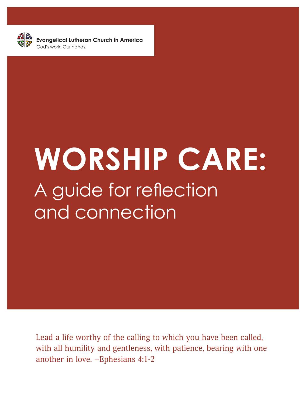

**Evangelical Lutheran Church in America** 

# **WORSHIP CARE:** A guide for reflection and connection

Lead a life worthy of the calling to which you have been called, with all humility and gentleness, with patience, bearing with one another in love. –Ephesians 4:1-2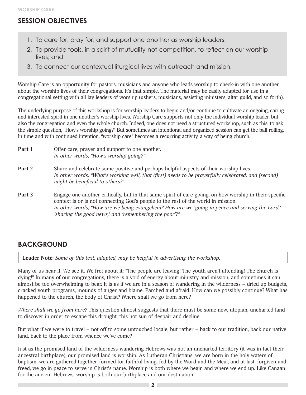# **SESSION OBJECTIVES**

- 1. To care for, pray for, and support one another as worship leaders;
- 2. To provide tools, in a spirit of mutuality-not-competition, to reflect on our worship lives; and
- 3. To connect our contextual liturgical lives with outreach and mission.

Worship Care is an opportunity for pastors, musicians and anyone who leads worship to check-in with one another about the worship lives of their congregations. It's that simple. The material may be easily adapted for use in a congregational setting with all lay leaders of worship (ushers, musicians, assisting ministers, altar guild, and so forth).

The underlying purpose of this workshop is for worship leaders to begin and/or continue to cultivate an ongoing, caring and interested spirit in one another's worship lives. Worship Care supports not only the individual worship leader, but also the congregation and even the whole church. Indeed, one does not need a structured workshop, such as this, to ask the simple question, "How's worship going?" But sometimes an intentional and organized session can get the ball rolling. In time and with continued intention, "worship care" becomes a recurring activity, a way of being church.

| Part 1 | Offer care, prayer and support to one another. |
|--------|------------------------------------------------|
|        | In other words, "How's worship going?"         |

- **Part 2** Share and celebrate some positive and perhaps helpful aspects of their worship lives. *In other words, "What's working well, that (first) needs to be prayerfully celebrated, and (second) might be beneficial to others?"*
- **Part 3** Engage one another critically, but in that same spirit of care-giving, on how worship in their specific context is or is not connecting God's people to the rest of the world in mission. *In other words, "How are we being evangelical? How are we 'going in peace and serving the Lord,' 'sharing the good news,' and 'remembering the poor'?"*

# **BACKGROUND**

**Leader Note:** *Some of this text, adapted, may be helpful in advertising the workshop.*

Many of us hear it. We see it. We fret about it: "The people are leaving! The youth aren't attending! The church is dying!" In many of our congregations, there is a void of energy about ministry and mission, and sometimes it can almost be too overwhelming to bear. It is as if we are in a season of wandering in the wilderness – dried up budgets, cracked youth programs, mounds of anger and blame. Parched and afraid. How can we possibly continue? What has happened to the church, the body of Christ? Where shall we go from here?

*Where shall we go from here?* This question almost suggests that there must be some new, utopian, uncharted land to discover in order to escape this drought, this hot sun of despair and decline.

But what if we were to travel – not off to some untouched locale, but rather – back to our tradition, back our native land, back to the place from whence we've come?

Just as the promised land of the wilderness-wandering Hebrews was not an uncharted territory (it was in fact their ancestral birthplace), our promised land is worship. As Lutheran Christians, we are born in the holy waters of baptism, we are gathered together, formed for faithful living, fed by the Word and the Meal, and at last, forgiven and freed, we go in peace to serve in Christ's name. Worship is both where we begin and where we end up. Like Canaan for the ancient Hebrews, worship is both our birthplace and our destination.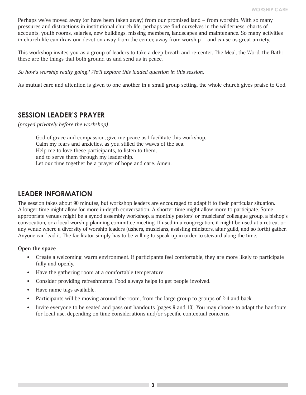Perhaps we've moved away (or have been taken away) from our promised land – from worship. With so many pressures and distractions in institutional church life, perhaps we find ourselves in the wilderness: charts of accounts, youth rooms, salaries, new buildings, missing members, landscapes and maintenance. So many activities in church life can draw our devotion away from the center, away from worship — and cause us great anxiety.

This workshop invites you as a group of leaders to take a deep breath and re-center. The Meal, the Word, the Bath: these are the things that both ground us and send us in peace.

*So how's worship really going? We'll explore this loaded question in this session.* 

As mutual care and attention is given to one another in a small group setting, the whole church gives praise to God.

#### **SESSION LEADER'S PRAYER**

*(prayed privately before the workshop)*

God of grace and compassion, give me peace as I facilitate this workshop. Calm my fears and anxieties, as you stilled the waves of the sea. Help me to love these participants, to listen to them, and to serve them through my leadership. Let our time together be a prayer of hope and care. Amen.

#### **LEADER INFORMATION**

The session takes about 90 minutes, but workshop leaders are encouraged to adapt it to their particular situation. A longer time might allow for more in-depth conversation. A shorter time might allow more to participate. Some appropriate venues might be a synod assembly workshop, a monthly pastors' or musicians' colleague group, a bishop's convocation, or a local worship planning committee meeting. If used in a congregation, it might be used at a retreat or any venue where a diversity of worship leaders (ushers, musicians, assisting ministers, altar guild, and so forth) gather. Anyone can lead it. The facilitator simply has to be willing to speak up in order to steward along the time.

#### **Open the space**

- Create a welcoming, warm environment. If participants feel comfortable, they are more likely to participate fully and openly.
- Have the gathering room at a comfortable temperature.
- Consider providing refreshments. Food always helps to get people involved.
- Have name tags available.
- Participants will be moving around the room, from the large group to groups of 2-4 and back.
- Invite everyone to be seated and pass out handouts [pages 9 and 10]. You may choose to adapt the handouts for local use, depending on time considerations and/or specific contextual concerns.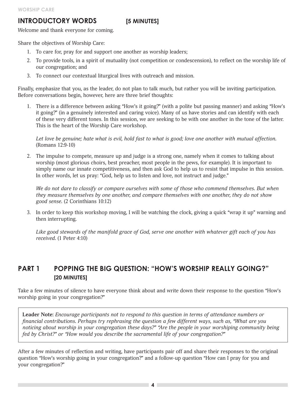#### **INTRODUCTORY WORDS** [5 MINUTES]

Welcome and thank everyone for coming.

Share the objectives of Worship Care:

- 1. To care for, pray for and support one another as worship leaders;
- 2. To provide tools, in a spirit of mutuality (not competition or condescension), to reflect on the worship life of our congregation; and
- 3. To connect our contextual liturgical lives with outreach and mission.

Finally, emphasize that you, as the leader, do not plan to talk much, but rather you will be inviting participation. Before conversations begin, however, here are three brief thoughts:

1. There is a difference between asking "How's it going?" (with a polite but passing manner) and asking "How's it going?" (in a genuinely interested and caring voice). Many of us have stories and can identify with each of these very different tones. In this session, we are seeking to be with one another in the tone of the latter. This is the heart of the Worship Care workshop.

*Let love be genuine; hate what is evil, hold fast to what is good; love one another with mutual affection.*  (Romans 12:9-10)

2. The impulse to compete, measure up and judge is a strong one, namely when it comes to talking about worship (most glorious choirs, best preacher, most people in the pews, for example). It is important to simply name our innate competitiveness, and then ask God to help us to resist that impulse in this session. In other words, let us pray: "God, help us to listen and love, not instruct and judge."

*We do not dare to classify or compare ourselves with some of those who commend themselves. But when they measure themselves by one another, and compare themselves with one another, they do not show good sense.* (2 Corinthians 10:12)

3. In order to keep this workshop moving, I will be watching the clock, giving a quick "wrap it up" warning and then interrupting.

*Like good stewards of the manifold grace of God, serve one another with whatever gift each of you has received.* (1 Peter 4:10)

# **PART 1 POPPING THE BIG QUESTION: "HOW'S WORSHIP REALLY GOING?" [20 MINUTES]**

Take a few minutes of silence to have everyone think about and write down their response to the question "How's worship going in your congregation?"

**Leader Note:** *Encourage participants not to respond to this question in terms of attendance numbers or financial contributions. Perhaps try rephrasing the question a few different ways, such as, "What are you noticing about worship in your congregation these days?" "Are the people in your worshiping community being fed by Christ?" or "How would you describe the sacramental life of your congregation?"*

After a few minutes of reflection and writing, have participants pair off and share their responses to the original question "How's worship going in your congregation?" and a follow-up question "How can I pray for you and your congregation?"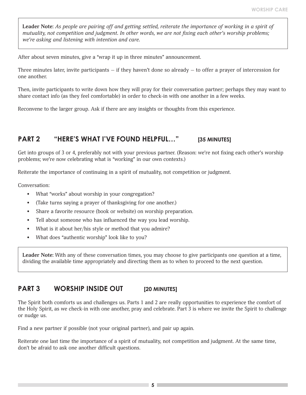**Leader Note:** *As people are pairing off and getting settled, reiterate the importance of working in a spirit of mutuality, not competition and judgment. In other words, we are not fixing each other's worship problems; we're asking and listening with intention and care.*

After about seven minutes, give a "wrap it up in three minutes" announcement.

Three minutes later, invite participants  $-$  if they haven't done so already  $-$  to offer a prayer of intercession for one another.

Then, invite participants to write down how they will pray for their conversation partner; perhaps they may want to share contact info (as they feel comfortable) in order to check-in with one another in a few weeks.

Reconvene to the larger group. Ask if there are any insights or thoughts from this experience.

#### **PART 2 "HERE'S WHAT I'VE FOUND HELPFUL…" [35 MINUTES]**

Get into groups of 3 or 4, preferably not with your previous partner. (Reason: we're not fixing each other's worship problems; we're now celebrating what is "working" in our own contexts.)

Reiterate the importance of continuing in a spirit of mutuality, not competition or judgment.

Conversation:

- What "works" about worship in your congregation?
- (Take turns saying a prayer of thanksgiving for one another.)
- Share a favorite resource (book or website) on worship preparation.
- Tell about someone who has influenced the way you lead worship.
- What is it about her/his style or method that you admire?
- What does "authentic worship" look like to you?

**Leader Note:** With any of these conversation times, you may choose to give participants one question at a time, dividing the available time appropriately and directing them as to when to proceed to the next question.

#### **PART 3 WORSHIP INSIDE OUT** [20 MINUTES]

The Spirit both comforts us and challenges us. Parts 1 and 2 are really opportunities to experience the comfort of the Holy Spirit, as we check-in with one another, pray and celebrate. Part 3 is where we invite the Spirit to challenge or nudge us.

Find a new partner if possible (not your original partner), and pair up again.

Reiterate one last time the importance of a spirit of mutuality, not competition and judgment. At the same time, don't be afraid to ask one another difficult questions.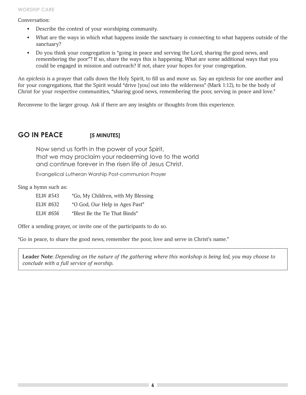Conversation:

- Describe the context of your worshiping community.
- What are the ways in which what happens inside the sanctuary is connecting to what happens outside of the sanctuary?
- Do you think your congregation is "going in peace and serving the Lord, sharing the good news, and remembering the poor"? If so, share the ways this is happening. What are some additional ways that you could be engaged in mission and outreach? If not, share your hopes for your congregation.

An *epiclesis* is a prayer that calls down the Holy Spirit, to fill us and move us. Say an epiclesis for one another and for your congregations, that the Spirit would "drive [you] out into the wilderness" (Mark 1:12), to be the body of Christ for your respective communities, "sharing good news, remembering the poor, serving in peace and love."

Reconvene to the larger group. Ask if there are any insights or thoughts from this experience.

# GO IN PEACE [5 MINUTES]

Now send us forth in the power of your Spirit, that we may proclaim your redeeming love to the world and continue forever in the risen life of Jesus Christ.

Evangelical Lutheran Worship Post-communion Prayer

Sing a hymn such as:

| ELW #543 | "Go, My Children, with My Blessing |
|----------|------------------------------------|
| ELW #632 | "O God, Our Help in Ages Past"     |
|          |                                    |

ELW #656 "Blest Be the Tie That Binds"

Offer a sending prayer, or invite one of the participants to do so.

"Go in peace, to share the good news, remember the poor, love and serve in Christ's name."

**Leader Note:** *Depending on the nature of the gathering where this workshop is being led, you may choose to conclude with a full service of worship.*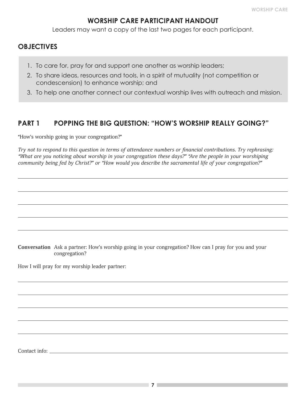# **WORSHIP CARE PARTICIPANT HANDOUT**

Leaders may want a copy of the last two pages for each participant.

# **OBJECTIVES**

- 1. To care for, pray for and support one another as worship leaders;
- 2. To share ideas, resources and tools, in a spirit of mutuality (not competition or condescension) to enhance worship; and
- 3. To help one another connect our contextual worship lives with outreach and mission.

# **PART 1 POPPING THE BIG QUESTION: "HOW'S WORSHIP REALLY GOING?"**

"How's worship going in your congregation?"

*Try not to respond to this question in terms of attendance numbers or financial contributions. Try rephrasing: "What are you noticing about worship in your congregation these days?" "Are the people in your worshiping community being fed by Christ?" or "How would you describe the sacramental life of your congregation?"*

**Conversation** Ask a partner: How's worship going in your congregation? How can I pray for you and your congregation?

How I will pray for my worship leader partner:

Contact info: